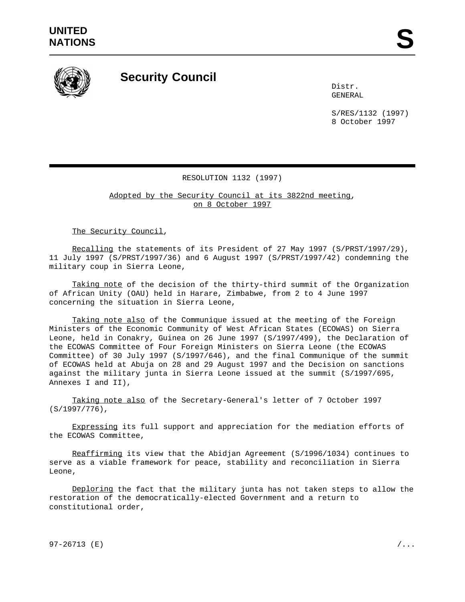

## **Security Council**

Distr. GENERAL

S/RES/1132 (1997) 8 October 1997

## RESOLUTION 1132 (1997)

Adopted by the Security Council at its 3822nd meeting, on 8 October 1997

The Security Council,

Recalling the statements of its President of 27 May 1997 (S/PRST/1997/29), 11 July 1997 (S/PRST/1997/36) and 6 August 1997 (S/PRST/1997/42) condemning the military coup in Sierra Leone,

Taking note of the decision of the thirty-third summit of the Organization of African Unity (OAU) held in Harare, Zimbabwe, from 2 to 4 June 1997 concerning the situation in Sierra Leone,

Taking note also of the Communique issued at the meeting of the Foreign Ministers of the Economic Community of West African States (ECOWAS) on Sierra Leone, held in Conakry, Guinea on 26 June 1997 (S/1997/499), the Declaration of the ECOWAS Committee of Four Foreign Ministers on Sierra Leone (the ECOWAS Committee) of 30 July 1997 (S/1997/646), and the final Communique of the summit of ECOWAS held at Abuja on 28 and 29 August 1997 and the Decision on sanctions against the military junta in Sierra Leone issued at the summit (S/1997/695, Annexes I and II),

Taking note also of the Secretary-General's letter of 7 October 1997 (S/1997/776),

Expressing its full support and appreciation for the mediation efforts of the ECOWAS Committee,

Reaffirming its view that the Abidjan Agreement (S/1996/1034) continues to serve as a viable framework for peace, stability and reconciliation in Sierra Leone,

Deploring the fact that the military junta has not taken steps to allow the restoration of the democratically-elected Government and a return to constitutional order,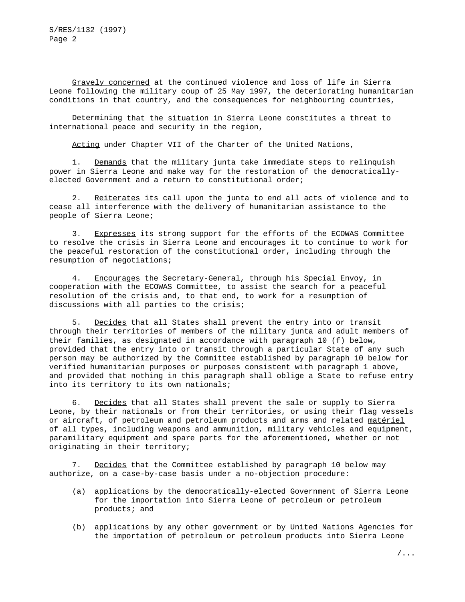Gravely concerned at the continued violence and loss of life in Sierra Leone following the military coup of 25 May 1997, the deteriorating humanitarian conditions in that country, and the consequences for neighbouring countries,

Determining that the situation in Sierra Leone constitutes a threat to international peace and security in the region,

Acting under Chapter VII of the Charter of the United Nations,

1. Demands that the military junta take immediate steps to relinquish power in Sierra Leone and make way for the restoration of the democraticallyelected Government and a return to constitutional order;

2. Reiterates its call upon the junta to end all acts of violence and to cease all interference with the delivery of humanitarian assistance to the people of Sierra Leone;

3. Expresses its strong support for the efforts of the ECOWAS Committee to resolve the crisis in Sierra Leone and encourages it to continue to work for the peaceful restoration of the constitutional order, including through the resumption of negotiations;

4. Encourages the Secretary-General, through his Special Envoy, in cooperation with the ECOWAS Committee, to assist the search for a peaceful resolution of the crisis and, to that end, to work for a resumption of discussions with all parties to the crisis;

5. Decides that all States shall prevent the entry into or transit through their territories of members of the military junta and adult members of their families, as designated in accordance with paragraph 10 (f) below, provided that the entry into or transit through a particular State of any such person may be authorized by the Committee established by paragraph 10 below for verified humanitarian purposes or purposes consistent with paragraph 1 above, and provided that nothing in this paragraph shall oblige a State to refuse entry into its territory to its own nationals;

6. Decides that all States shall prevent the sale or supply to Sierra Leone, by their nationals or from their territories, or using their flag vessels or aircraft, of petroleum and petroleum products and arms and related matériel of all types, including weapons and ammunition, military vehicles and equipment, paramilitary equipment and spare parts for the aforementioned, whether or not originating in their territory;

7. Decides that the Committee established by paragraph 10 below may authorize, on a case-by-case basis under a no-objection procedure:

- (a) applications by the democratically-elected Government of Sierra Leone for the importation into Sierra Leone of petroleum or petroleum products; and
- (b) applications by any other government or by United Nations Agencies for the importation of petroleum or petroleum products into Sierra Leone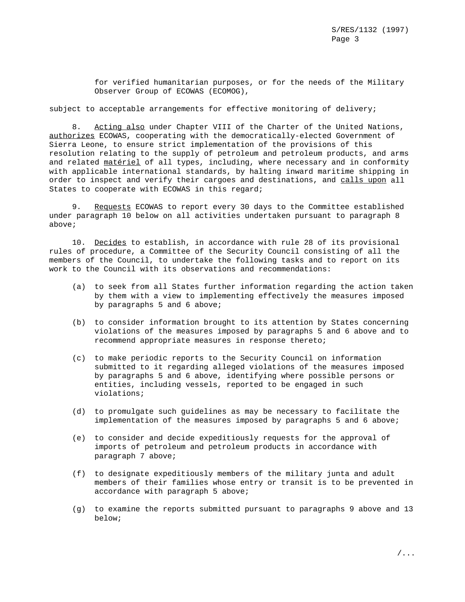for verified humanitarian purposes, or for the needs of the Military Observer Group of ECOWAS (ECOMOG),

## subject to acceptable arrangements for effective monitoring of delivery;

8. Acting also under Chapter VIII of the Charter of the United Nations, authorizes ECOWAS, cooperating with the democratically-elected Government of Sierra Leone, to ensure strict implementation of the provisions of this resolution relating to the supply of petroleum and petroleum products, and arms and related matériel of all types, including, where necessary and in conformity with applicable international standards, by halting inward maritime shipping in order to inspect and verify their cargoes and destinations, and calls upon all States to cooperate with ECOWAS in this regard;

9. Requests ECOWAS to report every 30 days to the Committee established under paragraph 10 below on all activities undertaken pursuant to paragraph 8 above;

10. Decides to establish, in accordance with rule 28 of its provisional rules of procedure, a Committee of the Security Council consisting of all the members of the Council, to undertake the following tasks and to report on its work to the Council with its observations and recommendations:

- (a) to seek from all States further information regarding the action taken by them with a view to implementing effectively the measures imposed by paragraphs 5 and 6 above;
- (b) to consider information brought to its attention by States concerning violations of the measures imposed by paragraphs 5 and 6 above and to recommend appropriate measures in response thereto;
- (c) to make periodic reports to the Security Council on information submitted to it regarding alleged violations of the measures imposed by paragraphs 5 and 6 above, identifying where possible persons or entities, including vessels, reported to be engaged in such violations;
- (d) to promulgate such guidelines as may be necessary to facilitate the implementation of the measures imposed by paragraphs 5 and 6 above;
- (e) to consider and decide expeditiously requests for the approval of imports of petroleum and petroleum products in accordance with paragraph 7 above;
- (f) to designate expeditiously members of the military junta and adult members of their families whose entry or transit is to be prevented in accordance with paragraph 5 above;
- (g) to examine the reports submitted pursuant to paragraphs 9 above and 13 below;